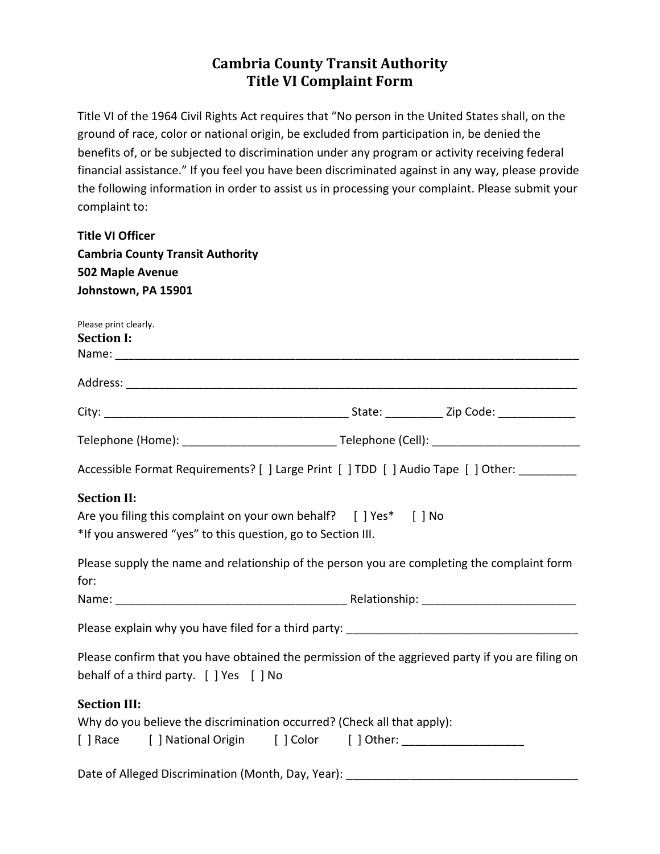## **Cambria County Transit Authority Title VI Complaint Form**

Title VI of the 1964 Civil Rights Act requires that "No person in the United States shall, on the ground of race, color or national origin, be excluded from participation in, be denied the benefits of, or be subjected to discrimination under any program or activity receiving federal financial assistance." If you feel you have been discriminated against in any way, please provide the following information in order to assist us in processing your complaint. Please submit your complaint to:

| <b>Title VI Officer</b>                                     |                                                                                                                      |
|-------------------------------------------------------------|----------------------------------------------------------------------------------------------------------------------|
| <b>Cambria County Transit Authority</b>                     |                                                                                                                      |
| 502 Maple Avenue                                            |                                                                                                                      |
| Johnstown, PA 15901                                         |                                                                                                                      |
| Please print clearly.<br><b>Section I:</b>                  |                                                                                                                      |
|                                                             |                                                                                                                      |
|                                                             |                                                                                                                      |
|                                                             |                                                                                                                      |
|                                                             | Accessible Format Requirements? [ ] Large Print [ ] TDD [ ] Audio Tape [ ] Other: ________                           |
| <b>Section II:</b>                                          |                                                                                                                      |
|                                                             | Are you filing this complaint on your own behalf? [ ] Yes* [ ] No                                                    |
| *If you answered "yes" to this question, go to Section III. |                                                                                                                      |
|                                                             | Please supply the name and relationship of the person you are completing the complaint form                          |
| for:                                                        |                                                                                                                      |
|                                                             |                                                                                                                      |
|                                                             | Please explain why you have filed for a third party: [19] Dean and the explain why you have filed for a third party: |
|                                                             | Please confirm that you have obtained the permission of the aggrieved party if you are filing on                     |
| behalf of a third party. [ ] Yes [ ] No                     |                                                                                                                      |
| <b>Section III:</b>                                         |                                                                                                                      |
|                                                             | Why do you believe the discrimination occurred? (Check all that apply):                                              |
|                                                             | [ ] Race [ ] National Origin [ ] Color [ ] Other: [ ] __________________________                                     |
| Date of Alleged Discrimination (Month, Day, Year):          |                                                                                                                      |